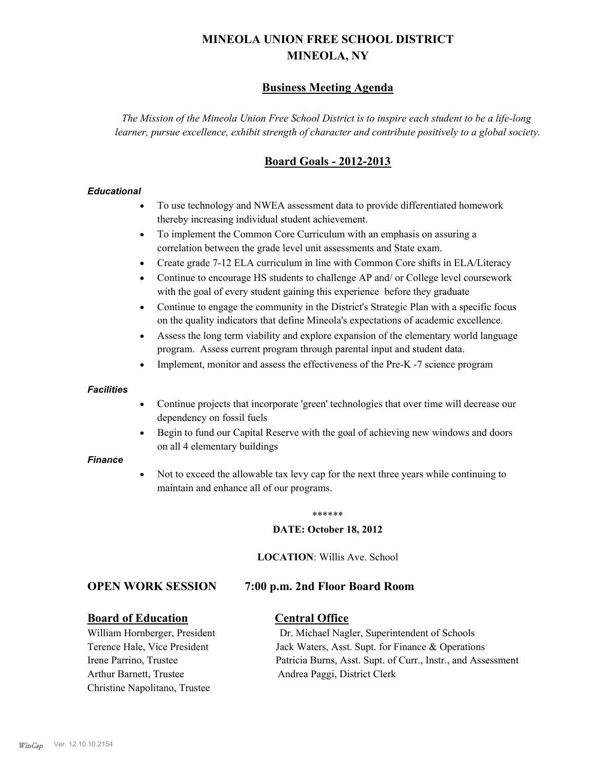# **MINEOLA UNION FREE SCHOOL DISTRICT MINEOLA, NY**

## **Business Meeting Agenda**

*The Mission of the Mineola Union Free School District is to inspire each student to be a life-long learner, pursue excellence, exhibit strength of character and contribute positively to a global society.*

## **Board Goals - 2012-2013**

## *Educational*

- · To use technology and NWEA assessment data to provide differentiated homework thereby increasing individual student achievement.
- · To implement the Common Core Curriculum with an emphasis on assuring a correlation between the grade level unit assessments and State exam.
- Create grade 7-12 ELA curriculum in line with Common Core shifts in ELA/Literacy
- Continue to encourage HS students to challenge AP and/ or College level coursework with the goal of every student gaining this experience before they graduate
- · Continue to engage the community in the District's Strategic Plan with a specific focus on the quality indicators that define Mineola's expectations of academic excellence.
- Assess the long term viability and explore expansion of the elementary world language program. Assess current program through parental input and student data.
- Implement, monitor and assess the effectiveness of the Pre-K -7 science program

### *Facilities*

- · Continue projects that incorporate 'green' technologies that over time will decrease our dependency on fossil fuels
- Begin to fund our Capital Reserve with the goal of achieving new windows and doors on all 4 elementary buildings

### *Finance*

Not to exceed the allowable tax levy cap for the next three years while continuing to maintain and enhance all of our programs.

#### \*\*\*\*\*\*

### **DATE: October 18, 2012**

**LOCATION**: Willis Ave. School

## **OPEN WORK SESSION 7:00 p.m. 2nd Floor Board Room**

### **Board of Education Central Office**

Arthur Barnett, Trustee Andrea Paggi, District Clerk Christine Napolitano, Trustee

William Hornberger, President Dr. Michael Nagler, Superintendent of Schools Terence Hale, Vice President Jack Waters, Asst. Supt. for Finance & Operations Irene Parrino, Trustee Patricia Burns, Asst. Supt. of Curr., Instr., and Assessment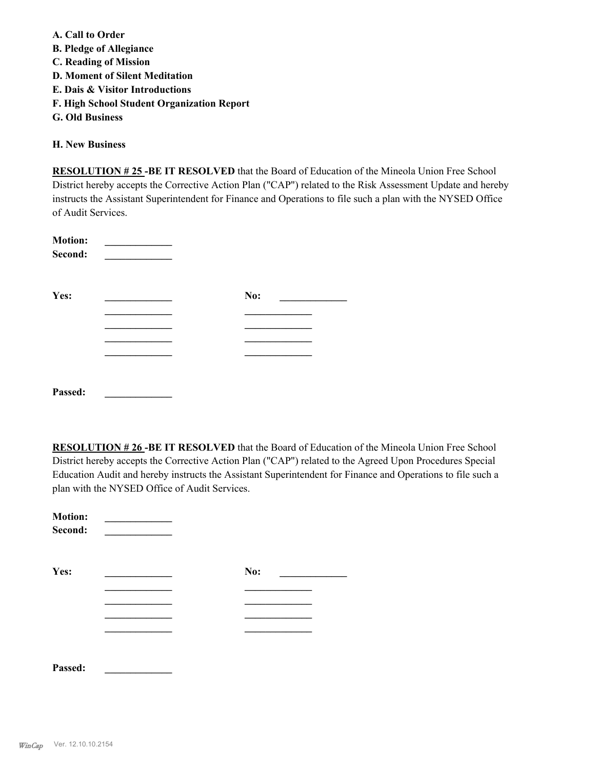**A. Call to Order B. Pledge of Allegiance C. Reading of Mission D. Moment of Silent Meditation E. Dais & Visitor Introductions F. High School Student Organization Report G. Old Business**

**H. New Business**

**RESOLUTION # 25 -BE IT RESOLVED** that the Board of Education of the Mineola Union Free School District hereby accepts the Corrective Action Plan ("CAP") related to the Risk Assessment Update and hereby instructs the Assistant Superintendent for Finance and Operations to file such a plan with the NYSED Office of Audit Services.

| <b>Motion:</b><br>Second: |     |
|---------------------------|-----|
| Yes:                      | No: |
|                           |     |
|                           |     |
|                           |     |
|                           |     |
| Passed:                   |     |

**RESOLUTION # 26 -BE IT RESOLVED** that the Board of Education of the Mineola Union Free School District hereby accepts the Corrective Action Plan ("CAP") related to the Agreed Upon Procedures Special Education Audit and hereby instructs the Assistant Superintendent for Finance and Operations to file such a plan with the NYSED Office of Audit Services.

| <b>Motion:</b><br>Second: |     |  |
|---------------------------|-----|--|
| Yes:                      | No: |  |
|                           |     |  |
|                           |     |  |
|                           |     |  |
|                           |     |  |
|                           |     |  |

**Passed: \_\_\_\_\_\_\_\_\_\_\_\_\_**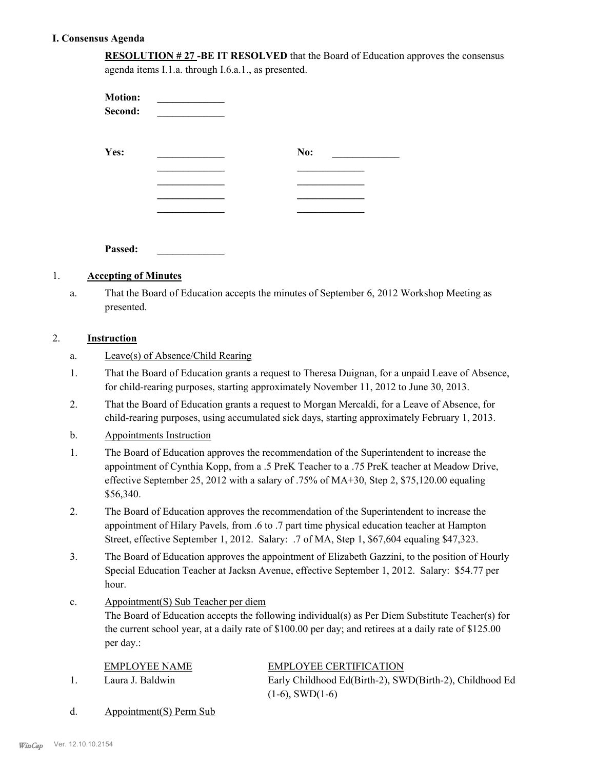## **I. Consensus Agenda**

| <b>RESOLUTION #27 -BE IT RESOLVED</b> that the Board of Education approves the consensus |
|------------------------------------------------------------------------------------------|
| agenda items I.1.a. through I.6.a.1., as presented.                                      |

| <b>Motion:</b><br>Second: |     |
|---------------------------|-----|
| Yes:                      | No: |
|                           |     |
|                           |     |
| Passed:                   |     |

## 1. **Accepting of Minutes**

That the Board of Education accepts the minutes of September 6, 2012 Workshop Meeting as presented. a.

## 2. **Instruction**

- That the Board of Education grants a request to Theresa Duignan, for a unpaid Leave of Absence, for child-rearing purposes, starting approximately November 11, 2012 to June 30, 2013. 1.
- That the Board of Education grants a request to Morgan Mercaldi, for a Leave of Absence, for child-rearing purposes, using accumulated sick days, starting approximately February 1, 2013. 2.
- b. Appointments Instruction
- The Board of Education approves the recommendation of the Superintendent to increase the appointment of Cynthia Kopp, from a .5 PreK Teacher to a .75 PreK teacher at Meadow Drive, effective September 25, 2012 with a salary of .75% of MA+30, Step 2, \$75,120.00 equaling \$56,340. 1.
- The Board of Education approves the recommendation of the Superintendent to increase the appointment of Hilary Pavels, from .6 to .7 part time physical education teacher at Hampton Street, effective September 1, 2012. Salary: .7 of MA, Step 1, \$67,604 equaling \$47,323. 2.
- The Board of Education approves the appointment of Elizabeth Gazzini, to the position of Hourly Special Education Teacher at Jacksn Avenue, effective September 1, 2012. Salary: \$54.77 per hour. 3.
- Appointment(S) Sub Teacher per diem c.

The Board of Education accepts the following individual(s) as Per Diem Substitute Teacher(s) for the current school year, at a daily rate of \$100.00 per day; and retirees at a daily rate of \$125.00 per day.:

| <b>EMPLOYEE NAME</b> | <b>EMPLOYEE CERTIFICATION</b>                           |
|----------------------|---------------------------------------------------------|
| Laura J. Baldwin     | Early Childhood Ed(Birth-2), SWD(Birth-2), Childhood Ed |
|                      | $(1-6)$ , SWD $(1-6)$                                   |
|                      |                                                         |

d. Appointment(S) Perm Sub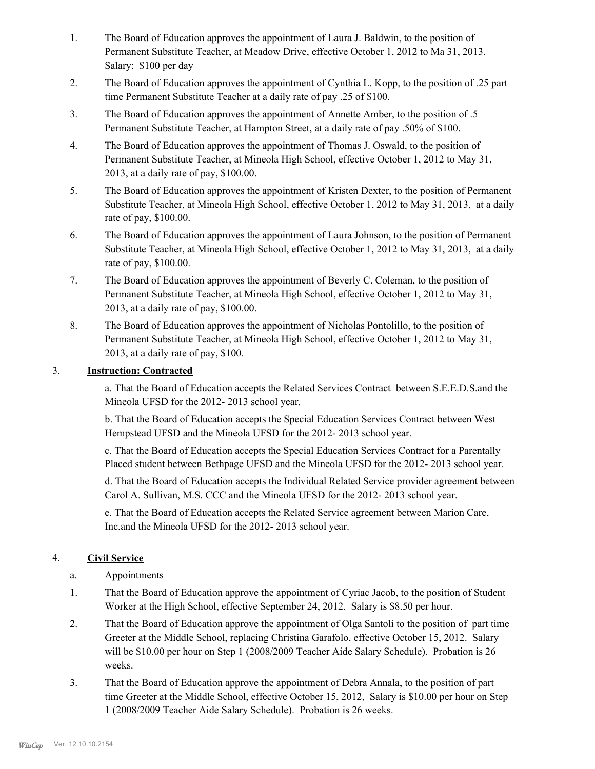- The Board of Education approves the appointment of Laura J. Baldwin, to the position of Permanent Substitute Teacher, at Meadow Drive, effective October 1, 2012 to Ma 31, 2013. Salary: \$100 per day 1.
- The Board of Education approves the appointment of Cynthia L. Kopp, to the position of .25 part time Permanent Substitute Teacher at a daily rate of pay .25 of \$100. 2.
- The Board of Education approves the appointment of Annette Amber, to the position of .5 Permanent Substitute Teacher, at Hampton Street, at a daily rate of pay .50% of \$100. 3.
- The Board of Education approves the appointment of Thomas J. Oswald, to the position of Permanent Substitute Teacher, at Mineola High School, effective October 1, 2012 to May 31, 2013, at a daily rate of pay, \$100.00. 4.
- The Board of Education approves the appointment of Kristen Dexter, to the position of Permanent Substitute Teacher, at Mineola High School, effective October 1, 2012 to May 31, 2013, at a daily rate of pay, \$100.00. 5.
- The Board of Education approves the appointment of Laura Johnson, to the position of Permanent Substitute Teacher, at Mineola High School, effective October 1, 2012 to May 31, 2013, at a daily rate of pay, \$100.00. 6.
- The Board of Education approves the appointment of Beverly C. Coleman, to the position of Permanent Substitute Teacher, at Mineola High School, effective October 1, 2012 to May 31, 2013, at a daily rate of pay, \$100.00. 7.
- The Board of Education approves the appointment of Nicholas Pontolillo, to the position of Permanent Substitute Teacher, at Mineola High School, effective October 1, 2012 to May 31, 2013, at a daily rate of pay, \$100. 8.

## 3. **Instruction: Contracted**

a. That the Board of Education accepts the Related Services Contract between S.E.E.D.S.and the Mineola UFSD for the 2012- 2013 school year.

b. That the Board of Education accepts the Special Education Services Contract between West Hempstead UFSD and the Mineola UFSD for the 2012- 2013 school year.

c. That the Board of Education accepts the Special Education Services Contract for a Parentally Placed student between Bethpage UFSD and the Mineola UFSD for the 2012- 2013 school year.

d. That the Board of Education accepts the Individual Related Service provider agreement between Carol A. Sullivan, M.S. CCC and the Mineola UFSD for the 2012- 2013 school year.

e. That the Board of Education accepts the Related Service agreement between Marion Care, Inc.and the Mineola UFSD for the 2012- 2013 school year.

## 4. **Civil Service**

- a. Appointments
- That the Board of Education approve the appointment of Cyriac Jacob, to the position of Student Worker at the High School, effective September 24, 2012. Salary is \$8.50 per hour. 1.
- That the Board of Education approve the appointment of Olga Santoli to the position of part time Greeter at the Middle School, replacing Christina Garafolo, effective October 15, 2012. Salary will be \$10.00 per hour on Step 1 (2008/2009 Teacher Aide Salary Schedule). Probation is 26 weeks. 2.
- That the Board of Education approve the appointment of Debra Annala, to the position of part time Greeter at the Middle School, effective October 15, 2012, Salary is \$10.00 per hour on Step 1 (2008/2009 Teacher Aide Salary Schedule). Probation is 26 weeks. 3.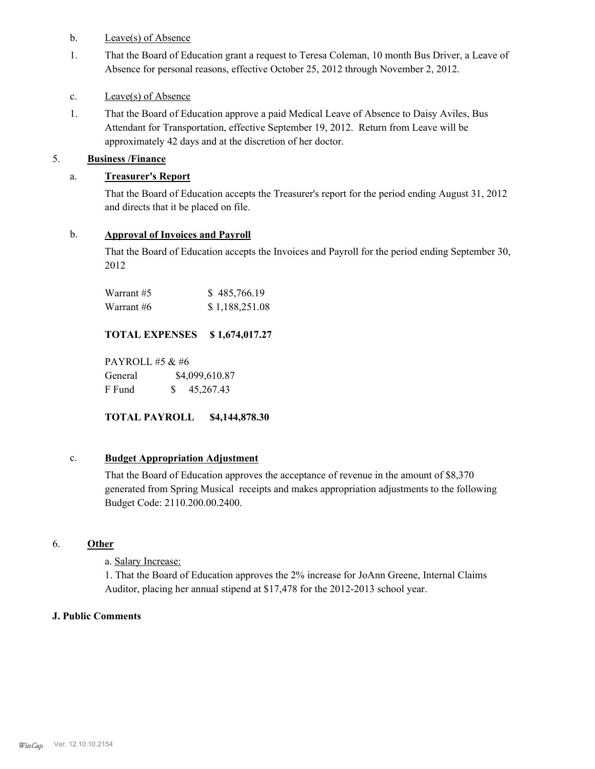## b. Leave(s) of Absence

That the Board of Education grant a request to Teresa Coleman, 10 month Bus Driver, a Leave of Absence for personal reasons, effective October 25, 2012 through November 2, 2012. 1.

## c. Leave(s) of Absence

That the Board of Education approve a paid Medical Leave of Absence to Daisy Aviles, Bus Attendant for Transportation, effective September 19, 2012. Return from Leave will be approximately 42 days and at the discretion of her doctor. 1.

## 5. **Business /Finance**

## a. **Treasurer's Report**

That the Board of Education accepts the Treasurer's report for the period ending August 31, 2012 and directs that it be placed on file.

## b. **Approval of Invoices and Payroll**

That the Board of Education accepts the Invoices and Payroll for the period ending September 30, 2012

| Warrant #5 | \$485,766.19   |
|------------|----------------|
| Warrant #6 | \$1,188,251.08 |

## **TOTAL EXPENSES \$ 1,674,017.27**

PAYROLL #5 & #6 General  $$4,099,610.87$ F Fund \$ 45,267.43

## **TOTAL PAYROLL \$4,144,878.30**

## c. **Budget Appropriation Adjustment**

That the Board of Education approves the acceptance of revenue in the amount of \$8,370 generated from Spring Musical receipts and makes appropriation adjustments to the following Budget Code: 2110.200.00.2400.

## 6. **Other**

a. Salary Increase:

1. That the Board of Education approves the 2% increase for JoAnn Greene, Internal Claims Auditor, placing her annual stipend at \$17,478 for the 2012-2013 school year.

## **J. Public Comments**